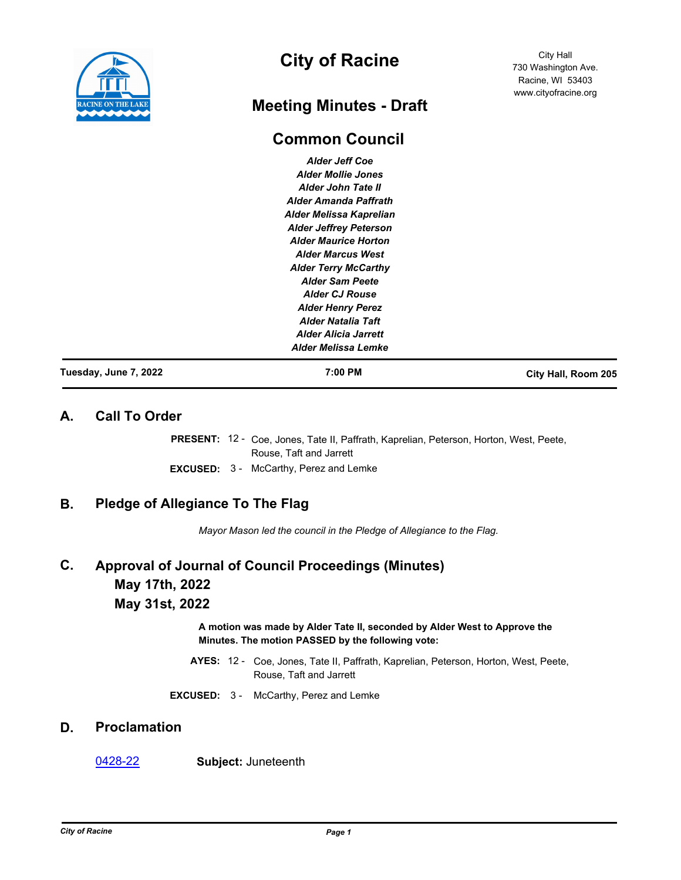

# **City of Racine**

# **Meeting Minutes - Draft**

# **Common Council**

*Alder Jeff Coe Alder Mollie Jones Alder John Tate II Alder Amanda Paffrath Alder Melissa Kaprelian Alder Jeffrey Peterson Alder Maurice Horton Alder Marcus West Alder Terry McCarthy Alder Sam Peete Alder CJ Rouse Alder Henry Perez Alder Natalia Taft Alder Alicia Jarrett Alder Melissa Lemke*

**Tuesday, June 7, 2022 7:00 PM City Hall, Room 205**

City Hall 730 Washington Ave. Racine, WI 53403 www.cityofracine.org

## **A. Call To Order**

PRESENT: 12 - Coe, Jones, Tate II, Paffrath, Kaprelian, Peterson, Horton, West, Peete, Rouse, Taft and Jarrett **EXCUSED:** 3 - McCarthy, Perez and Lemke

# **B. Pledge of Allegiance To The Flag**

*Mayor Mason led the council in the Pledge of Allegiance to the Flag.*

## **Approval of Journal of Council Proceedings (Minutes) May 17th, 2022 May 31st, 2022 C.**

**A motion was made by Alder Tate II, seconded by Alder West to Approve the Minutes. The motion PASSED by the following vote:**

- AYES: 12 Coe, Jones, Tate II, Paffrath, Kaprelian, Peterson, Horton, West, Peete, Rouse, Taft and Jarrett
- **EXCUSED:** 3 McCarthy, Perez and Lemke

# **D. Proclamation**

#### [0428-22](http://cityofracine.legistar.com/gateway.aspx?m=l&id=/matter.aspx?key=33615) **Subject:** Juneteenth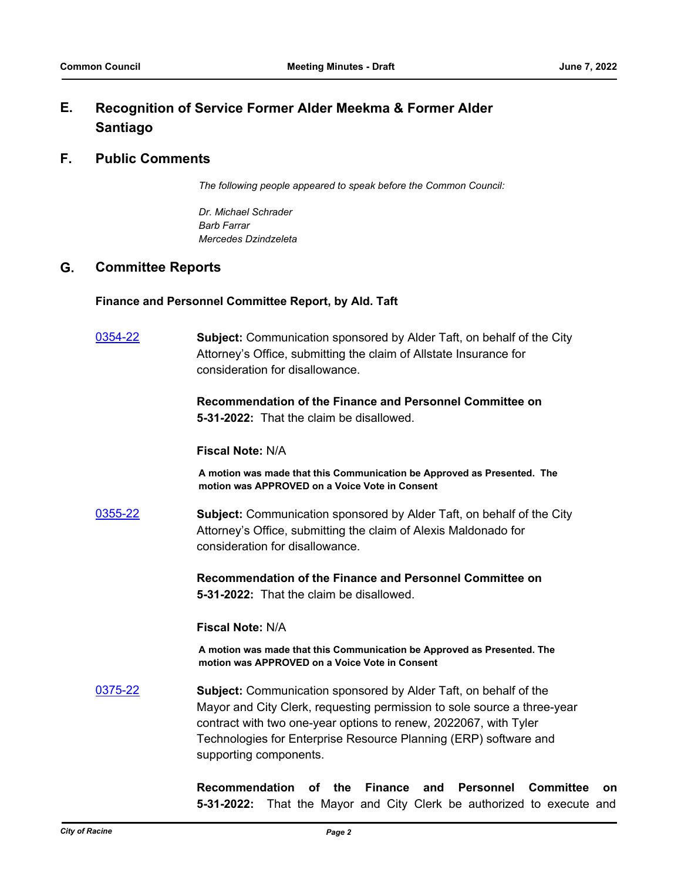#### **Recognition of Service Former Alder Meekma & Former Alder Santiago E.**

## **F. Public Comments**

*The following people appeared to speak before the Common Council:*

*Dr. Michael Schrader Barb Farrar Mercedes Dzindzeleta*

## **G. Committee Reports**

### **Finance and Personnel Committee Report, by Ald. Taft**

[0354-22](http://cityofracine.legistar.com/gateway.aspx?m=l&id=/matter.aspx?key=33531) **Subject:** Communication sponsored by Alder Taft, on behalf of the City Attorney's Office, submitting the claim of Allstate Insurance for consideration for disallowance.

> **Recommendation of the Finance and Personnel Committee on 5-31-2022:** That the claim be disallowed.

#### **Fiscal Note:** N/A

**A motion was made that this Communication be Approved as Presented. The motion was APPROVED on a Voice Vote in Consent**

[0355-22](http://cityofracine.legistar.com/gateway.aspx?m=l&id=/matter.aspx?key=33532) **Subject:** Communication sponsored by Alder Taft, on behalf of the City Attorney's Office, submitting the claim of Alexis Maldonado for consideration for disallowance.

> **Recommendation of the Finance and Personnel Committee on 5-31-2022:** That the claim be disallowed.

#### **Fiscal Note:** N/A

**A motion was made that this Communication be Approved as Presented. The motion was APPROVED on a Voice Vote in Consent**

[0375-22](http://cityofracine.legistar.com/gateway.aspx?m=l&id=/matter.aspx?key=33556) **Subject:** Communication sponsored by Alder Taft, on behalf of the Mayor and City Clerk, requesting permission to sole source a three-year contract with two one-year options to renew, 2022067, with Tyler Technologies for Enterprise Resource Planning (ERP) software and supporting components.

> **Recommendation of the Finance and Personnel Committee on 5-31-2022:** That the Mayor and City Clerk be authorized to execute and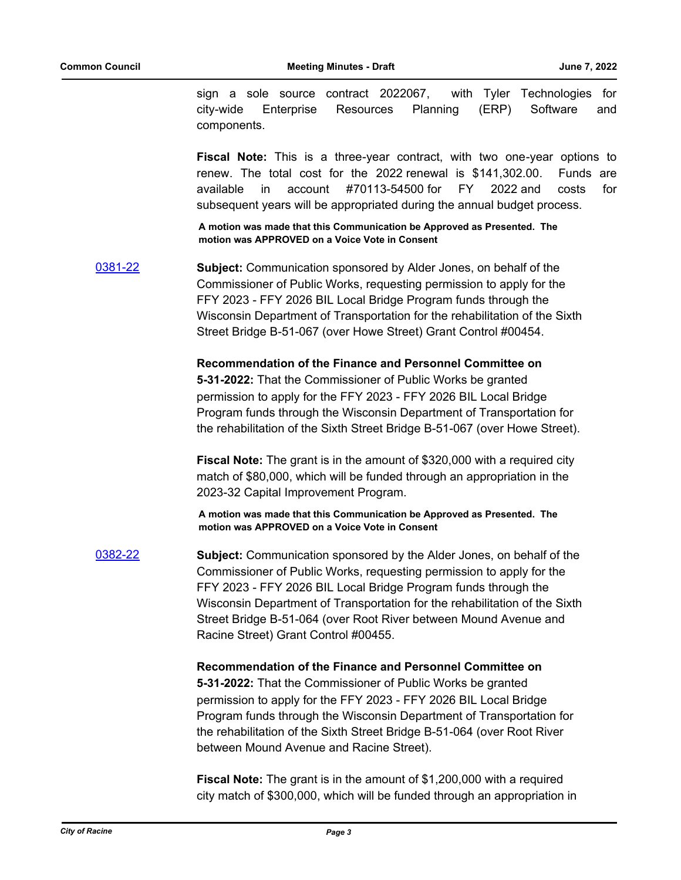sign a sole source contract 2022067, with Tyler Technologies for city-wide Enterprise Resources Planning (ERP) Software and components.

**Fiscal Note:** This is a three-year contract, with two one-year options to renew. The total cost for the 2022 renewal is \$141,302.00. Funds are available in account #70113-54500 for FY 2022 and costs for subsequent years will be appropriated during the annual budget process.

**A motion was made that this Communication be Approved as Presented. The motion was APPROVED on a Voice Vote in Consent**

[0381-22](http://cityofracine.legistar.com/gateway.aspx?m=l&id=/matter.aspx?key=33565) **Subject:** Communication sponsored by Alder Jones, on behalf of the Commissioner of Public Works, requesting permission to apply for the FFY 2023 - FFY 2026 BIL Local Bridge Program funds through the Wisconsin Department of Transportation for the rehabilitation of the Sixth Street Bridge B-51-067 (over Howe Street) Grant Control #00454.

> **Recommendation of the Finance and Personnel Committee on 5-31-2022:** That the Commissioner of Public Works be granted permission to apply for the FFY 2023 - FFY 2026 BIL Local Bridge Program funds through the Wisconsin Department of Transportation for the rehabilitation of the Sixth Street Bridge B-51-067 (over Howe Street).

**Fiscal Note:** The grant is in the amount of \$320,000 with a required city match of \$80,000, which will be funded through an appropriation in the 2023-32 Capital Improvement Program.

**A motion was made that this Communication be Approved as Presented. The motion was APPROVED on a Voice Vote in Consent**

[0382-22](http://cityofracine.legistar.com/gateway.aspx?m=l&id=/matter.aspx?key=33566) **Subject:** Communication sponsored by the Alder Jones, on behalf of the Commissioner of Public Works, requesting permission to apply for the FFY 2023 - FFY 2026 BIL Local Bridge Program funds through the Wisconsin Department of Transportation for the rehabilitation of the Sixth Street Bridge B-51-064 (over Root River between Mound Avenue and Racine Street) Grant Control #00455.

**Recommendation of the Finance and Personnel Committee on** 

**5-31-2022:** That the Commissioner of Public Works be granted permission to apply for the FFY 2023 - FFY 2026 BIL Local Bridge Program funds through the Wisconsin Department of Transportation for the rehabilitation of the Sixth Street Bridge B-51-064 (over Root River between Mound Avenue and Racine Street).

**Fiscal Note:** The grant is in the amount of \$1,200,000 with a required city match of \$300,000, which will be funded through an appropriation in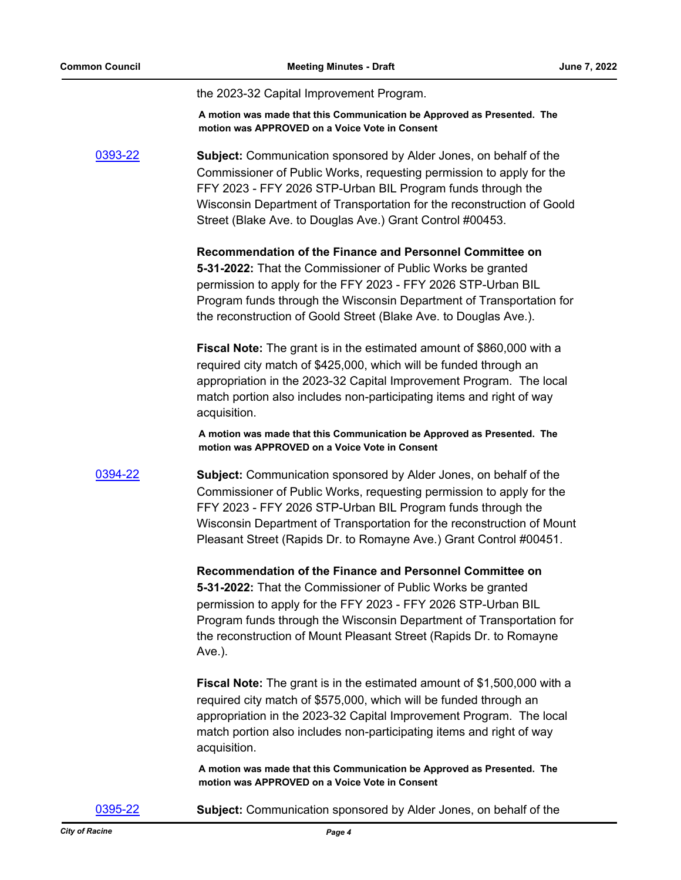the 2023-32 Capital Improvement Program.

**A motion was made that this Communication be Approved as Presented. The motion was APPROVED on a Voice Vote in Consent**

[0393-22](http://cityofracine.legistar.com/gateway.aspx?m=l&id=/matter.aspx?key=33577) **Subject:** Communication sponsored by Alder Jones, on behalf of the Commissioner of Public Works, requesting permission to apply for the FFY 2023 - FFY 2026 STP-Urban BIL Program funds through the Wisconsin Department of Transportation for the reconstruction of Goold Street (Blake Ave. to Douglas Ave.) Grant Control #00453.

> **Recommendation of the Finance and Personnel Committee on 5-31-2022:** That the Commissioner of Public Works be granted permission to apply for the FFY 2023 - FFY 2026 STP-Urban BIL Program funds through the Wisconsin Department of Transportation for the reconstruction of Goold Street (Blake Ave. to Douglas Ave.).

**Fiscal Note:** The grant is in the estimated amount of \$860,000 with a required city match of \$425,000, which will be funded through an appropriation in the 2023-32 Capital Improvement Program. The local match portion also includes non-participating items and right of way acquisition.

**A motion was made that this Communication be Approved as Presented. The motion was APPROVED on a Voice Vote in Consent**

[0394-22](http://cityofracine.legistar.com/gateway.aspx?m=l&id=/matter.aspx?key=33578) **Subject:** Communication sponsored by Alder Jones, on behalf of the Commissioner of Public Works, requesting permission to apply for the FFY 2023 - FFY 2026 STP-Urban BIL Program funds through the Wisconsin Department of Transportation for the reconstruction of Mount Pleasant Street (Rapids Dr. to Romayne Ave.) Grant Control #00451.

> **Recommendation of the Finance and Personnel Committee on 5-31-2022:** That the Commissioner of Public Works be granted permission to apply for the FFY 2023 - FFY 2026 STP-Urban BIL Program funds through the Wisconsin Department of Transportation for the reconstruction of Mount Pleasant Street (Rapids Dr. to Romayne Ave.).

> **Fiscal Note:** The grant is in the estimated amount of \$1,500,000 with a required city match of \$575,000, which will be funded through an appropriation in the 2023-32 Capital Improvement Program. The local match portion also includes non-participating items and right of way acquisition.

**A motion was made that this Communication be Approved as Presented. The motion was APPROVED on a Voice Vote in Consent**

[0395-22](http://cityofracine.legistar.com/gateway.aspx?m=l&id=/matter.aspx?key=33579) **Subject:** Communication sponsored by Alder Jones, on behalf of the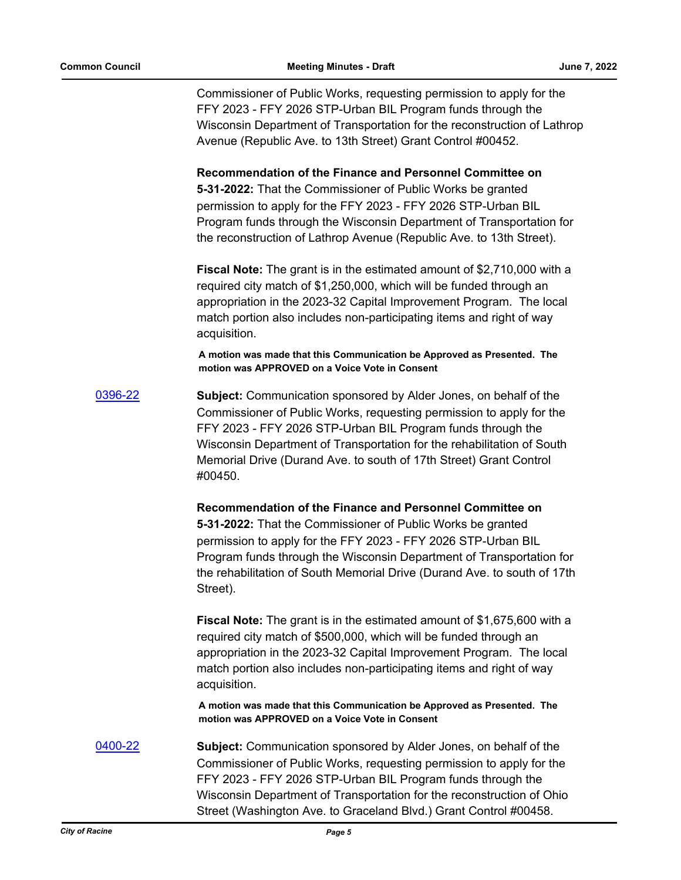Commissioner of Public Works, requesting permission to apply for the FFY 2023 - FFY 2026 STP-Urban BIL Program funds through the Wisconsin Department of Transportation for the reconstruction of Lathrop Avenue (Republic Ave. to 13th Street) Grant Control #00452.

**Recommendation of the Finance and Personnel Committee on** 

**5-31-2022:** That the Commissioner of Public Works be granted permission to apply for the FFY 2023 - FFY 2026 STP-Urban BIL Program funds through the Wisconsin Department of Transportation for the reconstruction of Lathrop Avenue (Republic Ave. to 13th Street).

**Fiscal Note:** The grant is in the estimated amount of \$2,710,000 with a required city match of \$1,250,000, which will be funded through an appropriation in the 2023-32 Capital Improvement Program. The local match portion also includes non-participating items and right of way acquisition.

**A motion was made that this Communication be Approved as Presented. The motion was APPROVED on a Voice Vote in Consent**

[0396-22](http://cityofracine.legistar.com/gateway.aspx?m=l&id=/matter.aspx?key=33580) **Subject:** Communication sponsored by Alder Jones, on behalf of the Commissioner of Public Works, requesting permission to apply for the FFY 2023 - FFY 2026 STP-Urban BIL Program funds through the Wisconsin Department of Transportation for the rehabilitation of South Memorial Drive (Durand Ave. to south of 17th Street) Grant Control #00450.

> **Recommendation of the Finance and Personnel Committee on 5-31-2022:** That the Commissioner of Public Works be granted permission to apply for the FFY 2023 - FFY 2026 STP-Urban BIL Program funds through the Wisconsin Department of Transportation for the rehabilitation of South Memorial Drive (Durand Ave. to south of 17th Street).

> **Fiscal Note:** The grant is in the estimated amount of \$1,675,600 with a required city match of \$500,000, which will be funded through an appropriation in the 2023-32 Capital Improvement Program. The local match portion also includes non-participating items and right of way acquisition.

**A motion was made that this Communication be Approved as Presented. The motion was APPROVED on a Voice Vote in Consent**

[0400-22](http://cityofracine.legistar.com/gateway.aspx?m=l&id=/matter.aspx?key=33585) **Subject:** Communication sponsored by Alder Jones, on behalf of the Commissioner of Public Works, requesting permission to apply for the FFY 2023 - FFY 2026 STP-Urban BIL Program funds through the Wisconsin Department of Transportation for the reconstruction of Ohio Street (Washington Ave. to Graceland Blvd.) Grant Control #00458.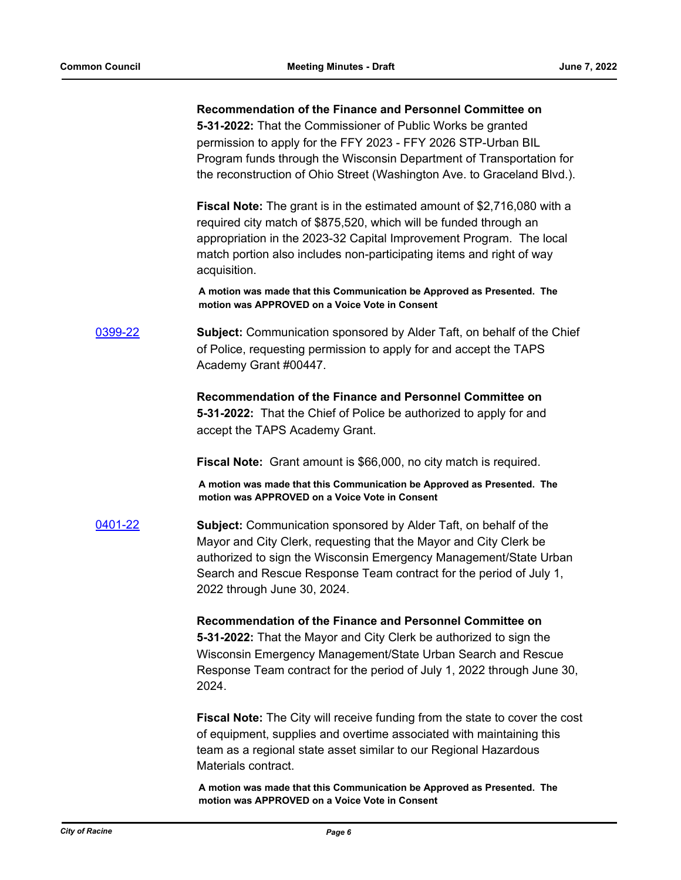#### **Recommendation of the Finance and Personnel Committee on**

**5-31-2022:** That the Commissioner of Public Works be granted permission to apply for the FFY 2023 - FFY 2026 STP-Urban BIL Program funds through the Wisconsin Department of Transportation for the reconstruction of Ohio Street (Washington Ave. to Graceland Blvd.).

**Fiscal Note:** The grant is in the estimated amount of \$2,716,080 with a required city match of \$875,520, which will be funded through an appropriation in the 2023-32 Capital Improvement Program. The local match portion also includes non-participating items and right of way acquisition.

**A motion was made that this Communication be Approved as Presented. The motion was APPROVED on a Voice Vote in Consent**

[0399-22](http://cityofracine.legistar.com/gateway.aspx?m=l&id=/matter.aspx?key=33584) **Subject:** Communication sponsored by Alder Taft, on behalf of the Chief of Police, requesting permission to apply for and accept the TAPS Academy Grant #00447.

> **Recommendation of the Finance and Personnel Committee on 5-31-2022:** That the Chief of Police be authorized to apply for and accept the TAPS Academy Grant.

**Fiscal Note:** Grant amount is \$66,000, no city match is required.

**A motion was made that this Communication be Approved as Presented. The motion was APPROVED on a Voice Vote in Consent**

[0401-22](http://cityofracine.legistar.com/gateway.aspx?m=l&id=/matter.aspx?key=33586) **Subject:** Communication sponsored by Alder Taft, on behalf of the Mayor and City Clerk, requesting that the Mayor and City Clerk be authorized to sign the Wisconsin Emergency Management/State Urban Search and Rescue Response Team contract for the period of July 1, 2022 through June 30, 2024.

> **Recommendation of the Finance and Personnel Committee on 5-31-2022:** That the Mayor and City Clerk be authorized to sign the Wisconsin Emergency Management/State Urban Search and Rescue Response Team contract for the period of July 1, 2022 through June 30, 2024.

**Fiscal Note:** The City will receive funding from the state to cover the cost of equipment, supplies and overtime associated with maintaining this team as a regional state asset similar to our Regional Hazardous Materials contract.

**A motion was made that this Communication be Approved as Presented. The motion was APPROVED on a Voice Vote in Consent**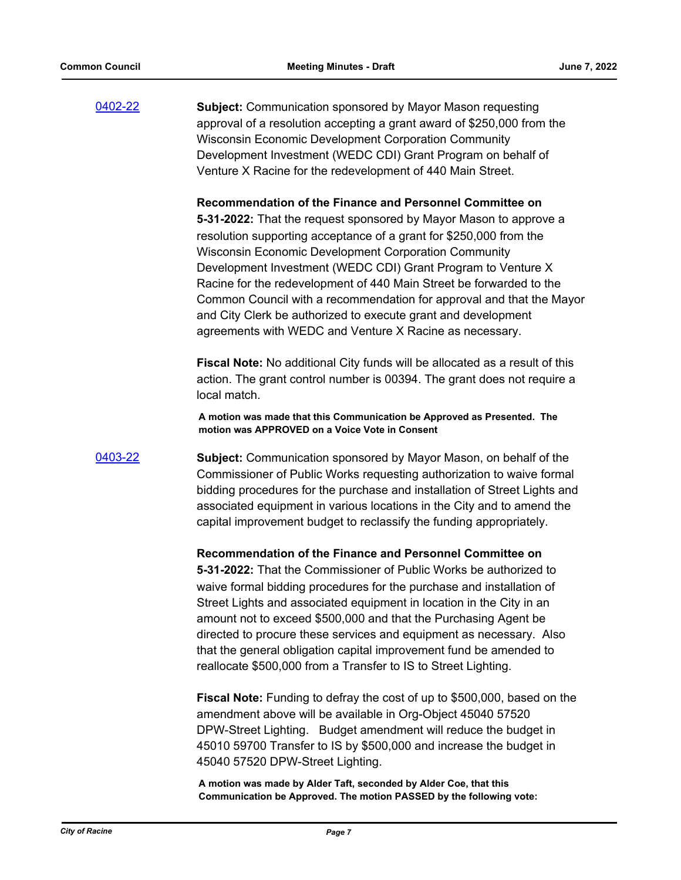[0402-22](http://cityofracine.legistar.com/gateway.aspx?m=l&id=/matter.aspx?key=33587) **Subject:** Communication sponsored by Mayor Mason requesting approval of a resolution accepting a grant award of \$250,000 from the Wisconsin Economic Development Corporation Community Development Investment (WEDC CDI) Grant Program on behalf of Venture X Racine for the redevelopment of 440 Main Street.

**Recommendation of the Finance and Personnel Committee on** 

**5-31-2022:** That the request sponsored by Mayor Mason to approve a resolution supporting acceptance of a grant for \$250,000 from the Wisconsin Economic Development Corporation Community Development Investment (WEDC CDI) Grant Program to Venture X Racine for the redevelopment of 440 Main Street be forwarded to the Common Council with a recommendation for approval and that the Mayor and City Clerk be authorized to execute grant and development agreements with WEDC and Venture X Racine as necessary.

**Fiscal Note:** No additional City funds will be allocated as a result of this action. The grant control number is 00394. The grant does not require a local match.

**A motion was made that this Communication be Approved as Presented. The motion was APPROVED on a Voice Vote in Consent**

[0403-22](http://cityofracine.legistar.com/gateway.aspx?m=l&id=/matter.aspx?key=33588) **Subject:** Communication sponsored by Mayor Mason, on behalf of the Commissioner of Public Works requesting authorization to waive formal bidding procedures for the purchase and installation of Street Lights and associated equipment in various locations in the City and to amend the capital improvement budget to reclassify the funding appropriately.

> **Recommendation of the Finance and Personnel Committee on 5-31-2022:** That the Commissioner of Public Works be authorized to waive formal bidding procedures for the purchase and installation of Street Lights and associated equipment in location in the City in an amount not to exceed \$500,000 and that the Purchasing Agent be directed to procure these services and equipment as necessary. Also that the general obligation capital improvement fund be amended to reallocate \$500,000 from a Transfer to IS to Street Lighting.

**Fiscal Note:** Funding to defray the cost of up to \$500,000, based on the amendment above will be available in Org-Object 45040 57520 DPW-Street Lighting. Budget amendment will reduce the budget in 45010 59700 Transfer to IS by \$500,000 and increase the budget in 45040 57520 DPW-Street Lighting.

**A motion was made by Alder Taft, seconded by Alder Coe, that this Communication be Approved. The motion PASSED by the following vote:**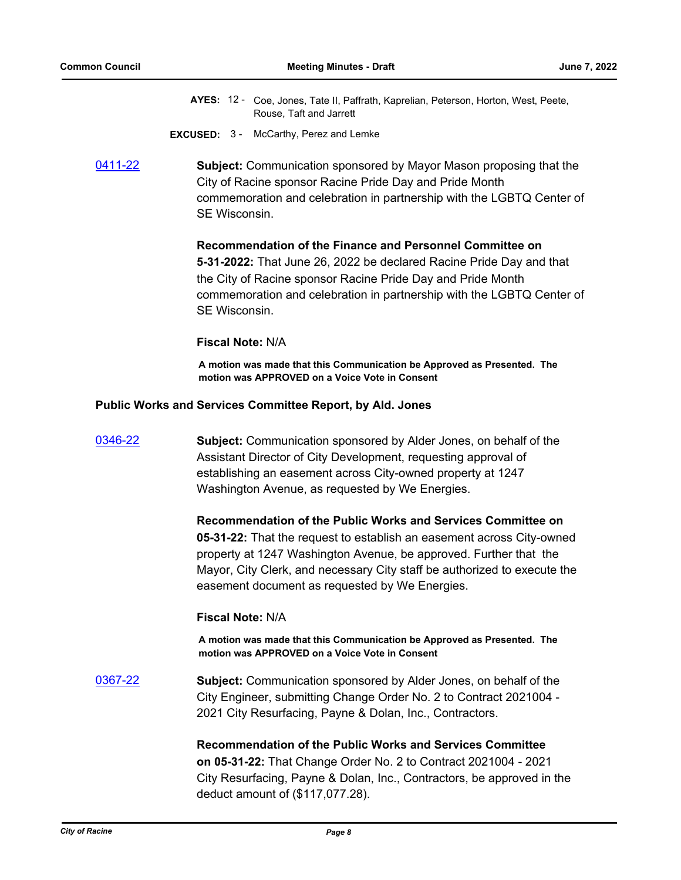- AYES: 12 Coe, Jones, Tate II, Paffrath, Kaprelian, Peterson, Horton, West, Peete, Rouse, Taft and Jarrett
- **EXCUSED:** 3 McCarthy, Perez and Lemke
- [0411-22](http://cityofracine.legistar.com/gateway.aspx?m=l&id=/matter.aspx?key=33597) **Subject:** Communication sponsored by Mayor Mason proposing that the City of Racine sponsor Racine Pride Day and Pride Month commemoration and celebration in partnership with the LGBTQ Center of SE Wisconsin.

#### **Recommendation of the Finance and Personnel Committee on**

**5-31-2022:** That June 26, 2022 be declared Racine Pride Day and that the City of Racine sponsor Racine Pride Day and Pride Month commemoration and celebration in partnership with the LGBTQ Center of SE Wisconsin.

### **Fiscal Note:** N/A

**A motion was made that this Communication be Approved as Presented. The motion was APPROVED on a Voice Vote in Consent**

#### **Public Works and Services Committee Report, by Ald. Jones**

| 0346-22 | <b>Subject:</b> Communication sponsored by Alder Jones, on behalf of the<br>Assistant Director of City Development, requesting approval of<br>establishing an easement across City-owned property at 1247<br>Washington Avenue, as requested by We Energies.                                                                             |
|---------|------------------------------------------------------------------------------------------------------------------------------------------------------------------------------------------------------------------------------------------------------------------------------------------------------------------------------------------|
|         | Recommendation of the Public Works and Services Committee on<br>05-31-22: That the request to establish an easement across City-owned<br>property at 1247 Washington Avenue, be approved. Further that the<br>Mayor, City Clerk, and necessary City staff be authorized to execute the<br>easement document as requested by We Energies. |
|         | <b>Fiscal Note: N/A</b>                                                                                                                                                                                                                                                                                                                  |
|         | A motion was made that this Communication be Approved as Presented. The<br>motion was APPROVED on a Voice Vote in Consent                                                                                                                                                                                                                |
| 0367-22 | <b>Subject:</b> Communication sponsored by Alder Jones, on behalf of the<br>City Engineer, submitting Change Order No. 2 to Contract 2021004 -<br>2021 City Resurfacing, Payne & Dolan, Inc., Contractors.                                                                                                                               |
|         | <b>Recommendation of the Public Works and Services Committee</b><br>on 05-31-22: That Change Order No. 2 to Contract 2021004 - 2021<br>City Resurfacing, Payne & Dolan, Inc., Contractors, be approved in the<br>deduct amount of (\$117,077.28).                                                                                        |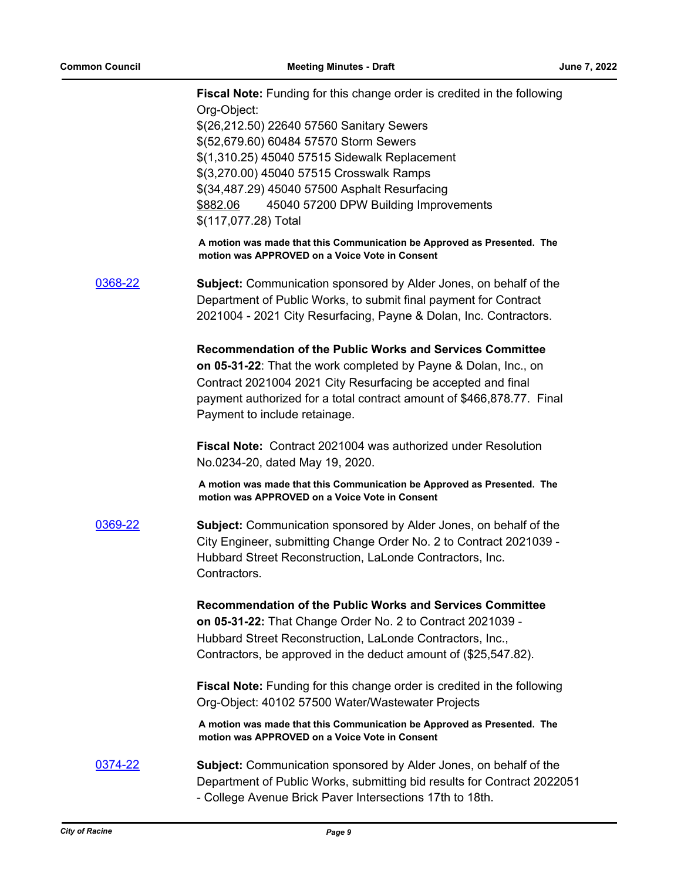**Fiscal Note:** Funding for this change order is credited in the following Org-Object: \$(26,212.50) 22640 57560 Sanitary Sewers \$(52,679.60) 60484 57570 Storm Sewers \$(1,310.25) 45040 57515 Sidewalk Replacement \$(3,270.00) 45040 57515 Crosswalk Ramps \$(34,487.29) 45040 57500 Asphalt Resurfacing \$882.06 45040 57200 DPW Building Improvements \$(117,077.28) Total **A motion was made that this Communication be Approved as Presented. The motion was APPROVED on a Voice Vote in Consent** [0368-22](http://cityofracine.legistar.com/gateway.aspx?m=l&id=/matter.aspx?key=33547) **Subject:** Communication sponsored by Alder Jones, on behalf of the Department of Public Works, to submit final payment for Contract 2021004 - 2021 City Resurfacing, Payne & Dolan, Inc. Contractors. **Recommendation of the Public Works and Services Committee on 05-31-22**: That the work completed by Payne & Dolan, Inc., on Contract 2021004 2021 City Resurfacing be accepted and final payment authorized for a total contract amount of \$466,878.77. Final Payment to include retainage. **Fiscal Note:** Contract 2021004 was authorized under Resolution No.0234-20, dated May 19, 2020. **A motion was made that this Communication be Approved as Presented. The motion was APPROVED on a Voice Vote in Consent** [0369-22](http://cityofracine.legistar.com/gateway.aspx?m=l&id=/matter.aspx?key=33548) **Subject:** Communication sponsored by Alder Jones, on behalf of the City Engineer, submitting Change Order No. 2 to Contract 2021039 - Hubbard Street Reconstruction, LaLonde Contractors, Inc. Contractors. **Recommendation of the Public Works and Services Committee on 05-31-22:** That Change Order No. 2 to Contract 2021039 - Hubbard Street Reconstruction, LaLonde Contractors, Inc., Contractors, be approved in the deduct amount of (\$25,547.82). **Fiscal Note:** Funding for this change order is credited in the following Org-Object: 40102 57500 Water/Wastewater Projects **A motion was made that this Communication be Approved as Presented. The motion was APPROVED on a Voice Vote in Consent** [0374-22](http://cityofracine.legistar.com/gateway.aspx?m=l&id=/matter.aspx?key=33555) **Subject:** Communication sponsored by Alder Jones, on behalf of the Department of Public Works, submitting bid results for Contract 2022051 - College Avenue Brick Paver Intersections 17th to 18th.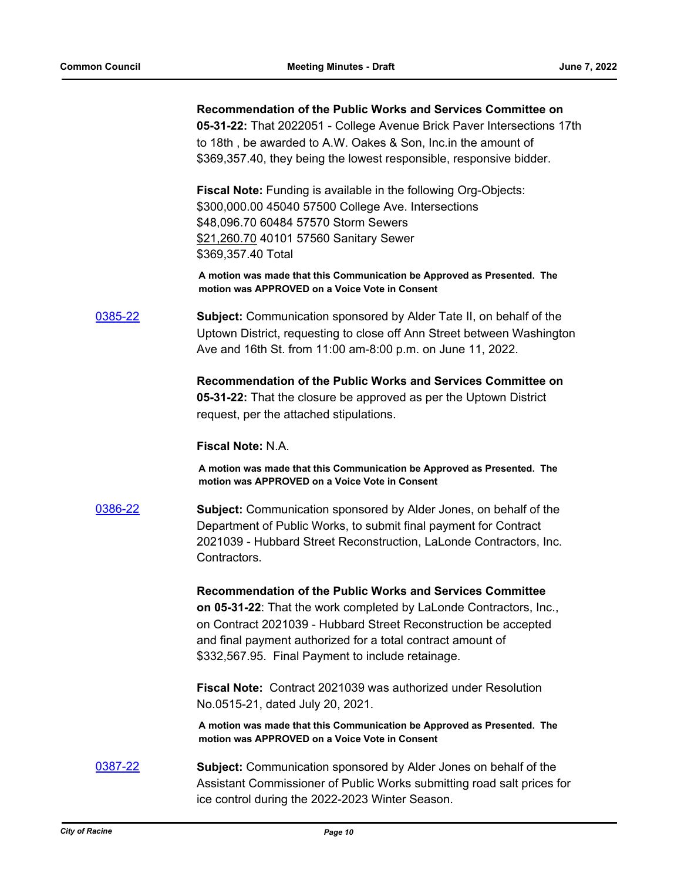|         | Recommendation of the Public Works and Services Committee on<br>05-31-22: That 2022051 - College Avenue Brick Paver Intersections 17th<br>to 18th, be awarded to A.W. Oakes & Son, Inc. in the amount of<br>\$369,357.40, they being the lowest responsible, responsive bidder.                                        |
|---------|------------------------------------------------------------------------------------------------------------------------------------------------------------------------------------------------------------------------------------------------------------------------------------------------------------------------|
|         | <b>Fiscal Note:</b> Funding is available in the following Org-Objects:<br>\$300,000.00 45040 57500 College Ave. Intersections<br>\$48,096.70 60484 57570 Storm Sewers<br>\$21,260.70 40101 57560 Sanitary Sewer<br>\$369,357.40 Total                                                                                  |
|         | A motion was made that this Communication be Approved as Presented. The<br>motion was APPROVED on a Voice Vote in Consent                                                                                                                                                                                              |
| 0385-22 | <b>Subject:</b> Communication sponsored by Alder Tate II, on behalf of the<br>Uptown District, requesting to close off Ann Street between Washington<br>Ave and 16th St. from 11:00 am-8:00 p.m. on June 11, 2022.                                                                                                     |
|         | Recommendation of the Public Works and Services Committee on<br>05-31-22: That the closure be approved as per the Uptown District<br>request, per the attached stipulations.                                                                                                                                           |
|         | <b>Fiscal Note: N.A.</b>                                                                                                                                                                                                                                                                                               |
|         | A motion was made that this Communication be Approved as Presented. The<br>motion was APPROVED on a Voice Vote in Consent                                                                                                                                                                                              |
| 0386-22 | <b>Subject:</b> Communication sponsored by Alder Jones, on behalf of the<br>Department of Public Works, to submit final payment for Contract<br>2021039 - Hubbard Street Reconstruction, LaLonde Contractors, Inc.<br>Contractors.                                                                                     |
|         | Recommendation of the Public Works and Services Committee<br>on 05-31-22: That the work completed by LaLonde Contractors, Inc.,<br>on Contract 2021039 - Hubbard Street Reconstruction be accepted<br>and final payment authorized for a total contract amount of<br>\$332,567.95. Final Payment to include retainage. |
|         | <b>Fiscal Note: Contract 2021039 was authorized under Resolution</b><br>No.0515-21, dated July 20, 2021.                                                                                                                                                                                                               |
|         | A motion was made that this Communication be Approved as Presented. The<br>motion was APPROVED on a Voice Vote in Consent                                                                                                                                                                                              |
| 0387-22 | <b>Subject:</b> Communication sponsored by Alder Jones on behalf of the<br>Assistant Commissioner of Public Works submitting road salt prices for<br>ice control during the 2022-2023 Winter Season.                                                                                                                   |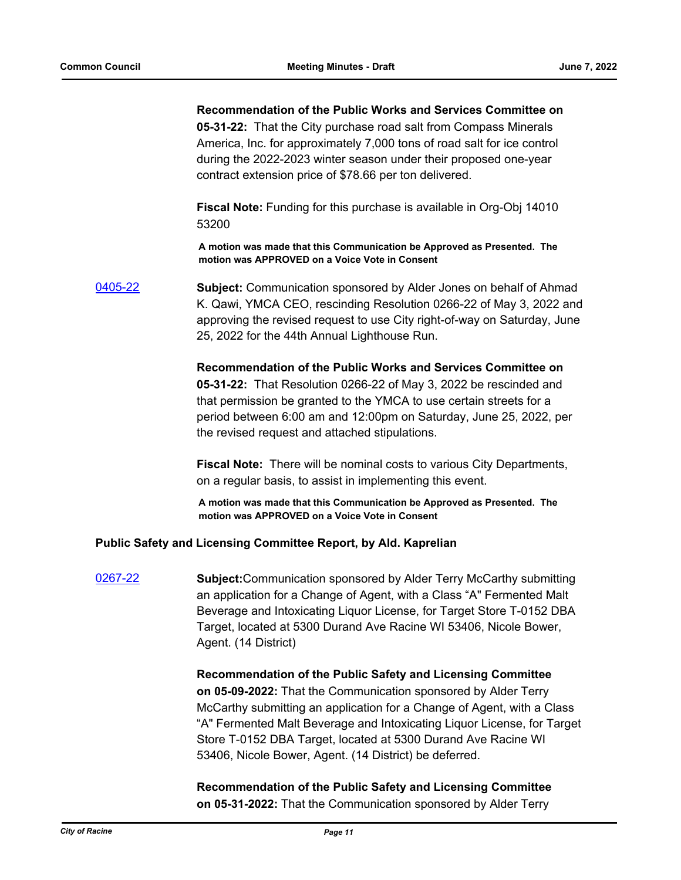#### **Recommendation of the Public Works and Services Committee on**

**05-31-22:** That the City purchase road salt from Compass Minerals America, Inc. for approximately 7,000 tons of road salt for ice control during the 2022-2023 winter season under their proposed one-year contract extension price of \$78.66 per ton delivered.

**Fiscal Note:** Funding for this purchase is available in Org-Obj 14010 53200

**A motion was made that this Communication be Approved as Presented. The motion was APPROVED on a Voice Vote in Consent**

[0405-22](http://cityofracine.legistar.com/gateway.aspx?m=l&id=/matter.aspx?key=33590) **Subject:** Communication sponsored by Alder Jones on behalf of Ahmad K. Qawi, YMCA CEO, rescinding Resolution 0266-22 of May 3, 2022 and approving the revised request to use City right-of-way on Saturday, June 25, 2022 for the 44th Annual Lighthouse Run.

> **Recommendation of the Public Works and Services Committee on 05-31-22:** That Resolution 0266-22 of May 3, 2022 be rescinded and that permission be granted to the YMCA to use certain streets for a period between 6:00 am and 12:00pm on Saturday, June 25, 2022, per the revised request and attached stipulations.

**Fiscal Note:** There will be nominal costs to various City Departments, on a regular basis, to assist in implementing this event.

**A motion was made that this Communication be Approved as Presented. The motion was APPROVED on a Voice Vote in Consent**

#### **Public Safety and Licensing Committee Report, by Ald. Kaprelian**

[0267-22](http://cityofracine.legistar.com/gateway.aspx?m=l&id=/matter.aspx?key=33436) **Subject:**Communication sponsored by Alder Terry McCarthy submitting an application for a Change of Agent, with a Class "A" Fermented Malt Beverage and Intoxicating Liquor License, for Target Store T-0152 DBA Target, located at 5300 Durand Ave Racine WI 53406, Nicole Bower, Agent. (14 District)

> **Recommendation of the Public Safety and Licensing Committee on 05-09-2022:** That the Communication sponsored by Alder Terry McCarthy submitting an application for a Change of Agent, with a Class "A" Fermented Malt Beverage and Intoxicating Liquor License, for Target Store T-0152 DBA Target, located at 5300 Durand Ave Racine WI 53406, Nicole Bower, Agent. (14 District) be deferred.

**Recommendation of the Public Safety and Licensing Committee on 05-31-2022:** That the Communication sponsored by Alder Terry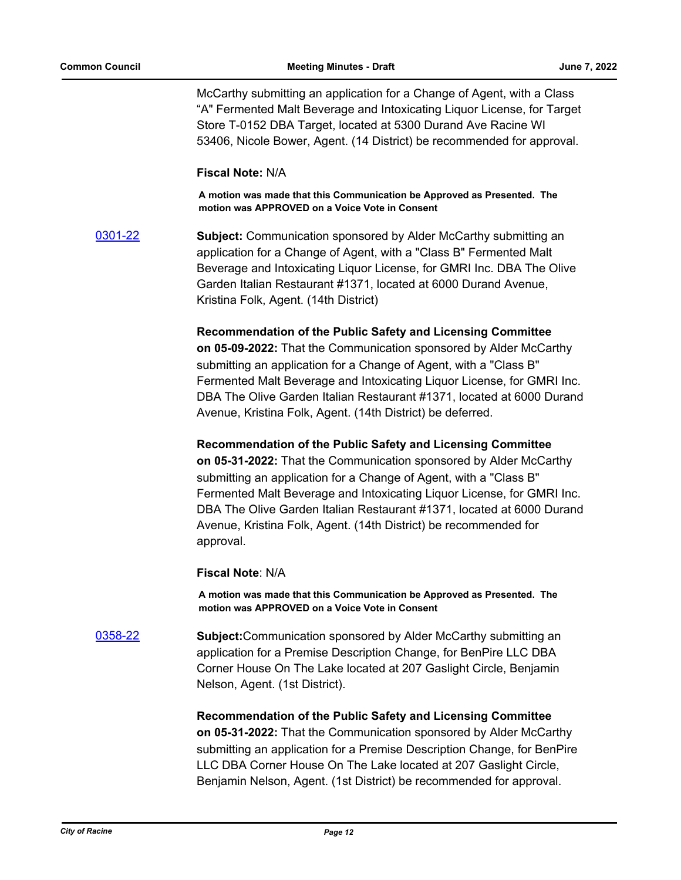McCarthy submitting an application for a Change of Agent, with a Class "A" Fermented Malt Beverage and Intoxicating Liquor License, for Target Store T-0152 DBA Target, located at 5300 Durand Ave Racine WI 53406, Nicole Bower, Agent. (14 District) be recommended for approval.

#### **Fiscal Note:** N/A

**A motion was made that this Communication be Approved as Presented. The motion was APPROVED on a Voice Vote in Consent**

[0301-22](http://cityofracine.legistar.com/gateway.aspx?m=l&id=/matter.aspx?key=33472) **Subject:** Communication sponsored by Alder McCarthy submitting an application for a Change of Agent, with a "Class B" Fermented Malt Beverage and Intoxicating Liquor License, for GMRI Inc. DBA The Olive Garden Italian Restaurant #1371, located at 6000 Durand Avenue, Kristina Folk, Agent. (14th District)

### **Recommendation of the Public Safety and Licensing Committee**

**on 05-09-2022:** That the Communication sponsored by Alder McCarthy submitting an application for a Change of Agent, with a "Class B" Fermented Malt Beverage and Intoxicating Liquor License, for GMRI Inc. DBA The Olive Garden Italian Restaurant #1371, located at 6000 Durand Avenue, Kristina Folk, Agent. (14th District) be deferred.

#### **Recommendation of the Public Safety and Licensing Committee**

**on 05-31-2022:** That the Communication sponsored by Alder McCarthy submitting an application for a Change of Agent, with a "Class B" Fermented Malt Beverage and Intoxicating Liquor License, for GMRI Inc. DBA The Olive Garden Italian Restaurant #1371, located at 6000 Durand Avenue, Kristina Folk, Agent. (14th District) be recommended for approval.

**Fiscal Note**: N/A

**A motion was made that this Communication be Approved as Presented. The motion was APPROVED on a Voice Vote in Consent**

[0358-22](http://cityofracine.legistar.com/gateway.aspx?m=l&id=/matter.aspx?key=33535) **Subject:**Communication sponsored by Alder McCarthy submitting an application for a Premise Description Change, for BenPire LLC DBA Corner House On The Lake located at 207 Gaslight Circle, Benjamin Nelson, Agent. (1st District).

> **Recommendation of the Public Safety and Licensing Committee on 05-31-2022:** That the Communication sponsored by Alder McCarthy submitting an application for a Premise Description Change, for BenPire LLC DBA Corner House On The Lake located at 207 Gaslight Circle, Benjamin Nelson, Agent. (1st District) be recommended for approval.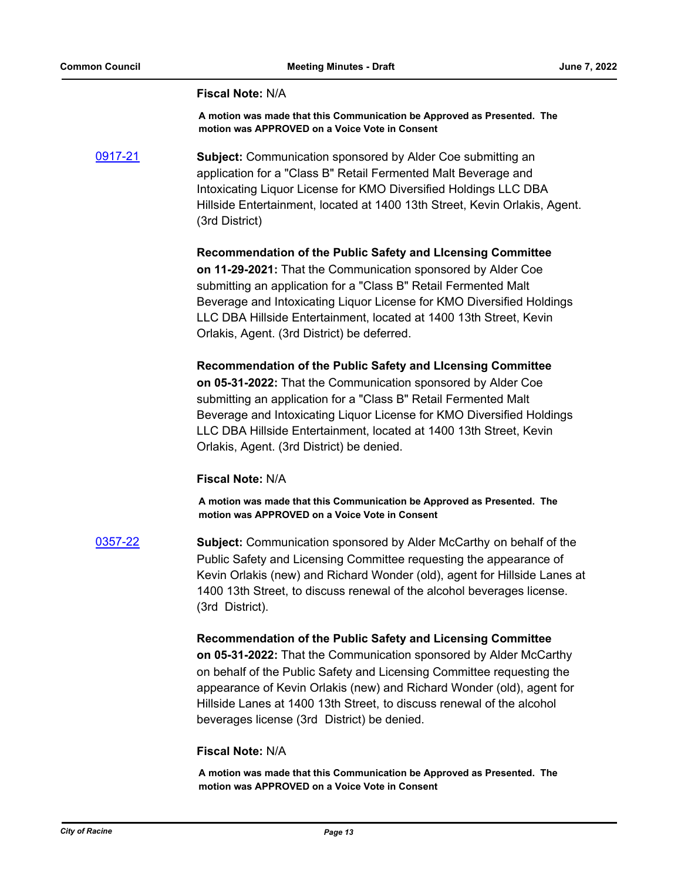#### **Fiscal Note:** N/A

**A motion was made that this Communication be Approved as Presented. The motion was APPROVED on a Voice Vote in Consent**

[0917-21](http://cityofracine.legistar.com/gateway.aspx?m=l&id=/matter.aspx?key=33035) **Subject:** Communication sponsored by Alder Coe submitting an application for a "Class B" Retail Fermented Malt Beverage and Intoxicating Liquor License for KMO Diversified Holdings LLC DBA Hillside Entertainment, located at 1400 13th Street, Kevin Orlakis, Agent. (3rd District)

> **Recommendation of the Public Safety and LIcensing Committee on 11-29-2021:** That the Communication sponsored by Alder Coe submitting an application for a "Class B" Retail Fermented Malt Beverage and Intoxicating Liquor License for KMO Diversified Holdings LLC DBA Hillside Entertainment, located at 1400 13th Street, Kevin Orlakis, Agent. (3rd District) be deferred.

> **Recommendation of the Public Safety and LIcensing Committee on 05-31-2022:** That the Communication sponsored by Alder Coe submitting an application for a "Class B" Retail Fermented Malt Beverage and Intoxicating Liquor License for KMO Diversified Holdings LLC DBA Hillside Entertainment, located at 1400 13th Street, Kevin Orlakis, Agent. (3rd District) be denied.

#### **Fiscal Note:** N/A

**A motion was made that this Communication be Approved as Presented. The motion was APPROVED on a Voice Vote in Consent**

[0357-22](http://cityofracine.legistar.com/gateway.aspx?m=l&id=/matter.aspx?key=33534) **Subject:** Communication sponsored by Alder McCarthy on behalf of the Public Safety and Licensing Committee requesting the appearance of Kevin Orlakis (new) and Richard Wonder (old), agent for Hillside Lanes at 1400 13th Street, to discuss renewal of the alcohol beverages license. (3rd District).

**Recommendation of the Public Safety and Licensing Committee** 

**on 05-31-2022:** That the Communication sponsored by Alder McCarthy on behalf of the Public Safety and Licensing Committee requesting the appearance of Kevin Orlakis (new) and Richard Wonder (old), agent for Hillside Lanes at 1400 13th Street, to discuss renewal of the alcohol beverages license (3rd District) be denied.

#### **Fiscal Note:** N/A

**A motion was made that this Communication be Approved as Presented. The motion was APPROVED on a Voice Vote in Consent**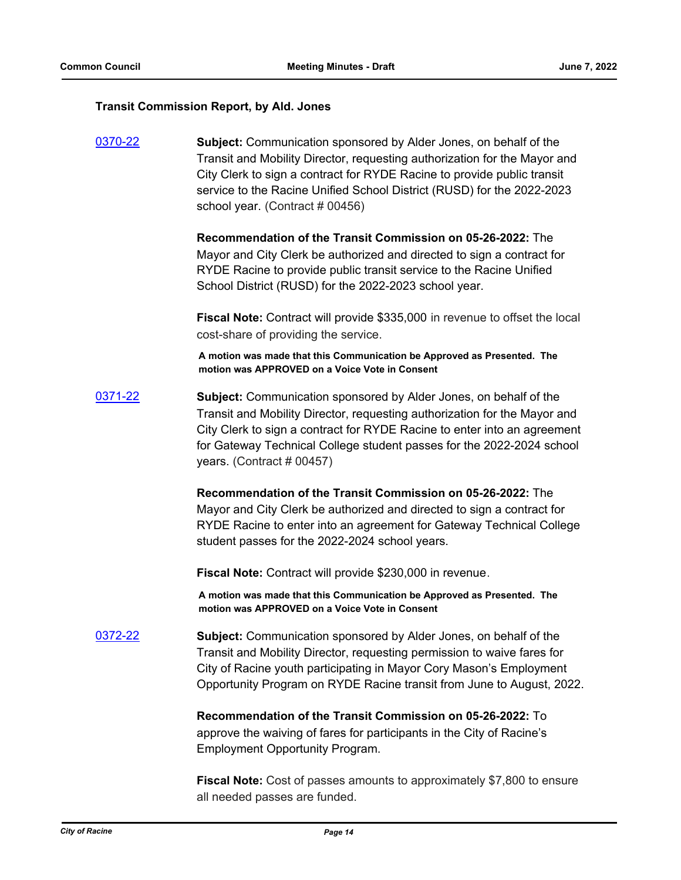#### **Transit Commission Report, by Ald. Jones**

[0370-22](http://cityofracine.legistar.com/gateway.aspx?m=l&id=/matter.aspx?key=33549) **Subject:** Communication sponsored by Alder Jones, on behalf of the Transit and Mobility Director, requesting authorization for the Mayor and City Clerk to sign a contract for RYDE Racine to provide public transit service to the Racine Unified School District (RUSD) for the 2022-2023 school year. (Contract # 00456)

> **Recommendation of the Transit Commission on 05-26-2022:** The Mayor and City Clerk be authorized and directed to sign a contract for RYDE Racine to provide public transit service to the Racine Unified School District (RUSD) for the 2022-2023 school year.

**Fiscal Note:** Contract will provide \$335,000 in revenue to offset the local cost-share of providing the service.

**A motion was made that this Communication be Approved as Presented. The motion was APPROVED on a Voice Vote in Consent**

[0371-22](http://cityofracine.legistar.com/gateway.aspx?m=l&id=/matter.aspx?key=33550) **Subject:** Communication sponsored by Alder Jones, on behalf of the Transit and Mobility Director, requesting authorization for the Mayor and City Clerk to sign a contract for RYDE Racine to enter into an agreement for Gateway Technical College student passes for the 2022-2024 school years. (Contract # 00457)

> **Recommendation of the Transit Commission on 05-26-2022:** The Mayor and City Clerk be authorized and directed to sign a contract for RYDE Racine to enter into an agreement for Gateway Technical College student passes for the 2022-2024 school years.

**Fiscal Note:** Contract will provide \$230,000 in revenue.

**A motion was made that this Communication be Approved as Presented. The motion was APPROVED on a Voice Vote in Consent**

[0372-22](http://cityofracine.legistar.com/gateway.aspx?m=l&id=/matter.aspx?key=33551) **Subject:** Communication sponsored by Alder Jones, on behalf of the Transit and Mobility Director, requesting permission to waive fares for City of Racine youth participating in Mayor Cory Mason's Employment Opportunity Program on RYDE Racine transit from June to August, 2022.

> **Recommendation of the Transit Commission on 05-26-2022:** To approve the waiving of fares for participants in the City of Racine's Employment Opportunity Program.

**Fiscal Note:** Cost of passes amounts to approximately \$7,800 to ensure all needed passes are funded.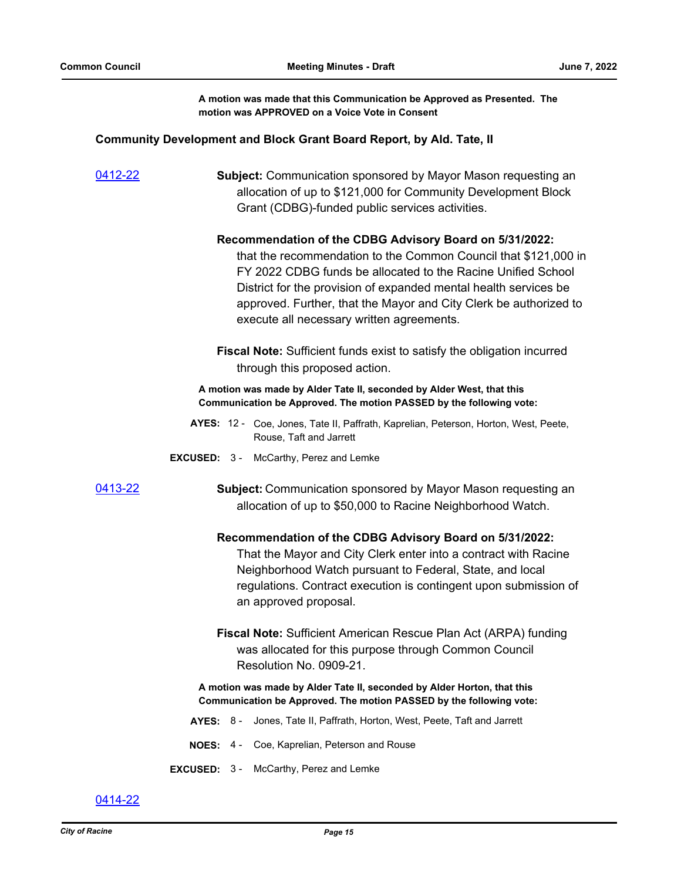**A motion was made that this Communication be Approved as Presented. The motion was APPROVED on a Voice Vote in Consent**

#### **Community Development and Block Grant Board Report, by Ald. Tate, II**

[0412-22](http://cityofracine.legistar.com/gateway.aspx?m=l&id=/matter.aspx?key=33598) **Subject:** Communication sponsored by Mayor Mason requesting an allocation of up to \$121,000 for Community Development Block Grant (CDBG)-funded public services activities.

#### **Recommendation of the CDBG Advisory Board on 5/31/2022:**

that the recommendation to the Common Council that \$121,000 in FY 2022 CDBG funds be allocated to the Racine Unified School District for the provision of expanded mental health services be approved. Further, that the Mayor and City Clerk be authorized to execute all necessary written agreements.

**Fiscal Note:** Sufficient funds exist to satisfy the obligation incurred through this proposed action.

**A motion was made by Alder Tate II, seconded by Alder West, that this Communication be Approved. The motion PASSED by the following vote:**

- AYES: 12 Coe, Jones, Tate II, Paffrath, Kaprelian, Peterson, Horton, West, Peete, Rouse, Taft and Jarrett
- **EXCUSED:** 3 McCarthy, Perez and Lemke

[0413-22](http://cityofracine.legistar.com/gateway.aspx?m=l&id=/matter.aspx?key=33599) **Subject:** Communication sponsored by Mayor Mason requesting an allocation of up to \$50,000 to Racine Neighborhood Watch.

#### **Recommendation of the CDBG Advisory Board on 5/31/2022:**

That the Mayor and City Clerk enter into a contract with Racine Neighborhood Watch pursuant to Federal, State, and local regulations. Contract execution is contingent upon submission of an approved proposal.

**Fiscal Note:** Sufficient American Rescue Plan Act (ARPA) funding was allocated for this purpose through Common Council Resolution No. 0909-21.

#### **A motion was made by Alder Tate II, seconded by Alder Horton, that this Communication be Approved. The motion PASSED by the following vote:**

- **AYES:** 8 Jones, Tate II, Paffrath, Horton, West, Peete, Taft and Jarrett
- **NOES:** 4 Coe, Kaprelian, Peterson and Rouse
- **EXCUSED:** 3 McCarthy, Perez and Lemke

[0414-22](http://cityofracine.legistar.com/gateway.aspx?m=l&id=/matter.aspx?key=33600)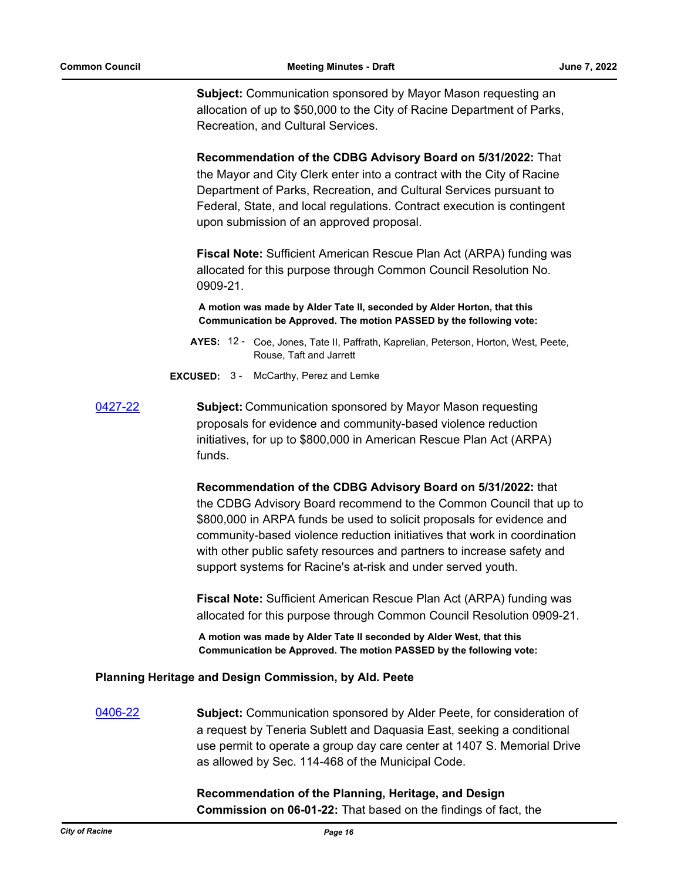**Subject:** Communication sponsored by Mayor Mason requesting an allocation of up to \$50,000 to the City of Racine Department of Parks, Recreation, and Cultural Services.

**Recommendation of the CDBG Advisory Board on 5/31/2022:** That the Mayor and City Clerk enter into a contract with the City of Racine Department of Parks, Recreation, and Cultural Services pursuant to Federal, State, and local regulations. Contract execution is contingent upon submission of an approved proposal.

**Fiscal Note:** Sufficient American Rescue Plan Act (ARPA) funding was allocated for this purpose through Common Council Resolution No. 0909-21.

**A motion was made by Alder Tate II, seconded by Alder Horton, that this Communication be Approved. The motion PASSED by the following vote:**

- AYES: 12 Coe, Jones, Tate II, Paffrath, Kaprelian, Peterson, Horton, West, Peete, Rouse, Taft and Jarrett
- **EXCUSED:** 3 McCarthy, Perez and Lemke
- [0427-22](http://cityofracine.legistar.com/gateway.aspx?m=l&id=/matter.aspx?key=33614) **Subject:** Communication sponsored by Mayor Mason requesting proposals for evidence and community-based violence reduction initiatives, for up to \$800,000 in American Rescue Plan Act (ARPA) funds.

**Recommendation of the CDBG Advisory Board on 5/31/2022:** that the CDBG Advisory Board recommend to the Common Council that up to \$800,000 in ARPA funds be used to solicit proposals for evidence and community-based violence reduction initiatives that work in coordination with other public safety resources and partners to increase safety and support systems for Racine's at-risk and under served youth.

**Fiscal Note:** Sufficient American Rescue Plan Act (ARPA) funding was allocated for this purpose through Common Council Resolution 0909-21.

**A motion was made by Alder Tate II seconded by Alder West, that this Communication be Approved. The motion PASSED by the following vote:**

### **Planning Heritage and Design Commission, by Ald. Peete**

[0406-22](http://cityofracine.legistar.com/gateway.aspx?m=l&id=/matter.aspx?key=33591) **Subject:** Communication sponsored by Alder Peete, for consideration of a request by Teneria Sublett and Daquasia East, seeking a conditional use permit to operate a group day care center at 1407 S. Memorial Drive as allowed by Sec. 114-468 of the Municipal Code.

> **Recommendation of the Planning, Heritage, and Design Commission on 06-01-22:** That based on the findings of fact, the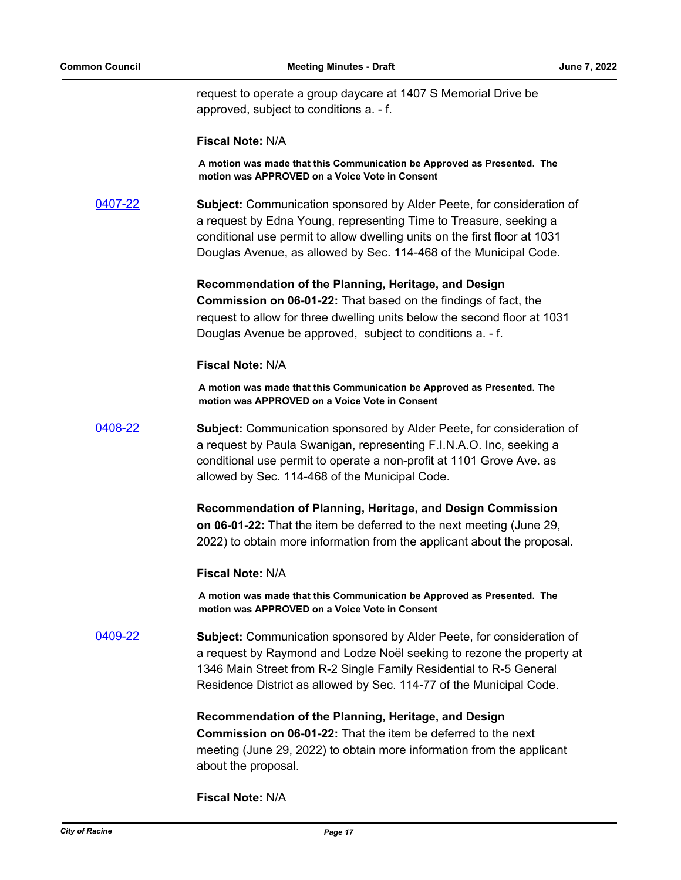request to operate a group daycare at 1407 S Memorial Drive be approved, subject to conditions a. - f.

#### **Fiscal Note:** N/A

**A motion was made that this Communication be Approved as Presented. The motion was APPROVED on a Voice Vote in Consent**

[0407-22](http://cityofracine.legistar.com/gateway.aspx?m=l&id=/matter.aspx?key=33592) **Subject:** Communication sponsored by Alder Peete, for consideration of a request by Edna Young, representing Time to Treasure, seeking a conditional use permit to allow dwelling units on the first floor at 1031 Douglas Avenue, as allowed by Sec. 114-468 of the Municipal Code.

> **Recommendation of the Planning, Heritage, and Design Commission on 06-01-22:** That based on the findings of fact, the request to allow for three dwelling units below the second floor at 1031 Douglas Avenue be approved, subject to conditions a. - f.

#### **Fiscal Note:** N/A

**A motion was made that this Communication be Approved as Presented. The motion was APPROVED on a Voice Vote in Consent**

[0408-22](http://cityofracine.legistar.com/gateway.aspx?m=l&id=/matter.aspx?key=33593) **Subject:** Communication sponsored by Alder Peete, for consideration of a request by Paula Swanigan, representing F.I.N.A.O. Inc, seeking a conditional use permit to operate a non-profit at 1101 Grove Ave. as allowed by Sec. 114-468 of the Municipal Code.

> **Recommendation of Planning, Heritage, and Design Commission on 06-01-22:** That the item be deferred to the next meeting (June 29, 2022) to obtain more information from the applicant about the proposal.

#### **Fiscal Note:** N/A

**A motion was made that this Communication be Approved as Presented. The motion was APPROVED on a Voice Vote in Consent**

[0409-22](http://cityofracine.legistar.com/gateway.aspx?m=l&id=/matter.aspx?key=33594) **Subject:** Communication sponsored by Alder Peete, for consideration of a request by Raymond and Lodze Noël seeking to rezone the property at 1346 Main Street from R-2 Single Family Residential to R-5 General Residence District as allowed by Sec. 114-77 of the Municipal Code.

> **Recommendation of the Planning, Heritage, and Design Commission on 06-01-22:** That the item be deferred to the next meeting (June 29, 2022) to obtain more information from the applicant about the proposal.

**Fiscal Note:** N/A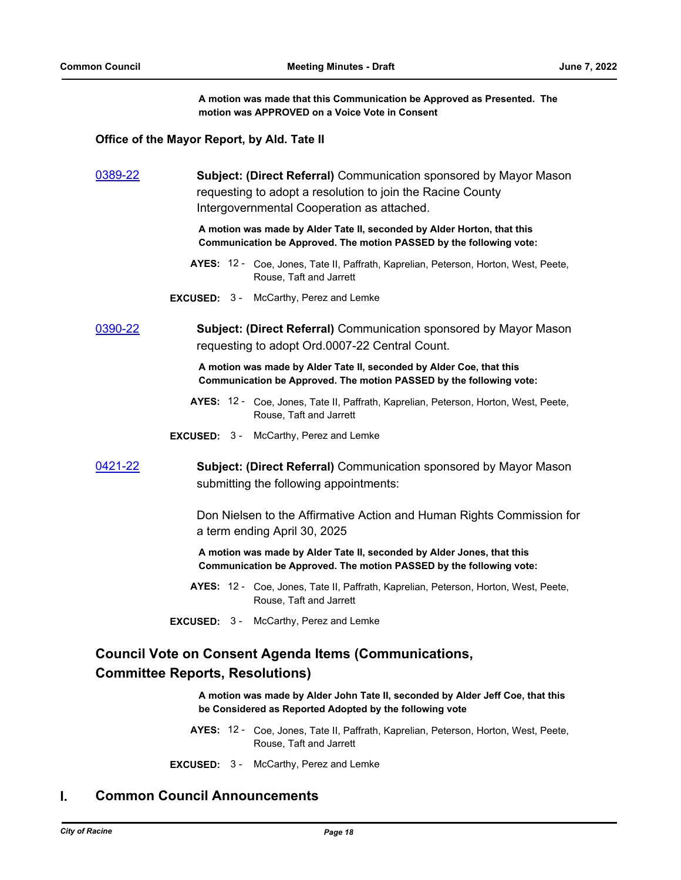**A motion was made that this Communication be Approved as Presented. The motion was APPROVED on a Voice Vote in Consent**

#### **Office of the Mayor Report, by Ald. Tate II**

| 0389-22 | <b>Subject: (Direct Referral)</b> Communication sponsored by Mayor Mason<br>requesting to adopt a resolution to join the Racine County<br>Intergovernmental Cooperation as attached. |
|---------|--------------------------------------------------------------------------------------------------------------------------------------------------------------------------------------|
|         | A motion was made by Alder Tate II, seconded by Alder Horton, that this<br>Communication be Approved. The motion PASSED by the following vote:                                       |
|         | AYES: 12 - Coe, Jones, Tate II, Paffrath, Kaprelian, Peterson, Horton, West, Peete,<br>Rouse, Taft and Jarrett                                                                       |
|         | <b>EXCUSED:</b> 3 - McCarthy, Perez and Lemke                                                                                                                                        |
| 0390-22 | <b>Subject: (Direct Referral)</b> Communication sponsored by Mayor Mason<br>requesting to adopt Ord.0007-22 Central Count.                                                           |
|         | A motion was made by Alder Tate II, seconded by Alder Coe, that this<br>Communication be Approved. The motion PASSED by the following vote:                                          |
|         | AYES: 12 - Coe, Jones, Tate II, Paffrath, Kaprelian, Peterson, Horton, West, Peete,<br>Rouse, Taft and Jarrett                                                                       |
|         | <b>EXCUSED:</b> 3 - McCarthy, Perez and Lemke                                                                                                                                        |
| 0421-22 | <b>Subject: (Direct Referral)</b> Communication sponsored by Mayor Mason<br>submitting the following appointments:                                                                   |
|         | Don Nielsen to the Affirmative Action and Human Rights Commission for<br>a term ending April 30, 2025                                                                                |
|         | A motion was made by Alder Tate II, seconded by Alder Jones, that this<br>Communication be Approved. The motion PASSED by the following vote:                                        |
|         | AYES: 12 - Coe, Jones, Tate II, Paffrath, Kaprelian, Peterson, Horton, West, Peete,<br>Rouse, Taft and Jarrett                                                                       |
|         | <b>EXCUSED:</b> 3 - McCarthy, Perez and Lemke                                                                                                                                        |

# **Council Vote on Consent Agenda Items (Communications, Committee Reports, Resolutions)**

**A motion was made by Alder John Tate II, seconded by Alder Jeff Coe, that this be Considered as Reported Adopted by the following vote**

- AYES: 12 Coe, Jones, Tate II, Paffrath, Kaprelian, Peterson, Horton, West, Peete, Rouse, Taft and Jarrett
- **EXCUSED:** 3 McCarthy, Perez and Lemke

# **I. Common Council Announcements**